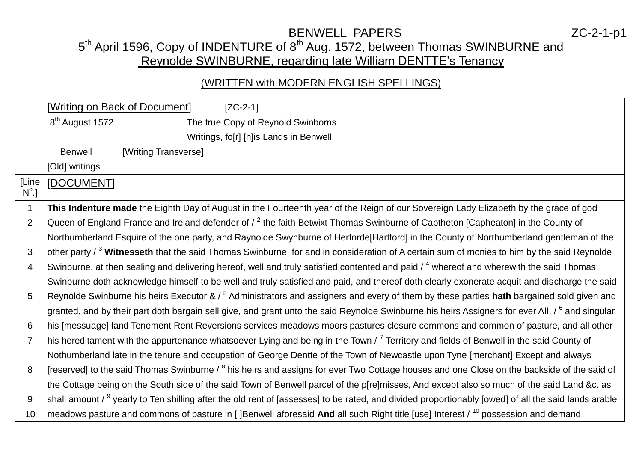## **BENWELL PAPERS** The Material Material Material Material Material Material Material Material Material Material Ma 5<sup>th</sup> April 1596, Copy of INDENTURE of 8<sup>th</sup> Aug. 1572, between Thomas SWINBURNE and Reynolde SWINBURNE, regarding late William DENTTE's Tenancy

## (WRITTEN with MODERN ENGLISH SPELLINGS)

|                       | [Writing on Back of Document]<br>$[ZC-2-1]$                                                                                                                     |
|-----------------------|-----------------------------------------------------------------------------------------------------------------------------------------------------------------|
|                       | 8 <sup>th</sup> August 1572<br>The true Copy of Reynold Swinborns                                                                                               |
|                       | Writings, fo[r] [h]is Lands in Benwell.                                                                                                                         |
|                       | <b>Benwell</b><br>[Writing Transverse]                                                                                                                          |
|                       | [Old] writings                                                                                                                                                  |
| [Line<br>$N^{\circ}.$ | [DOCUMENT]                                                                                                                                                      |
| $\mathbf 1$           | This Indenture made the Eighth Day of August in the Fourteenth year of the Reign of our Sovereign Lady Elizabeth by the grace of god                            |
| $\overline{2}$        | Queen of England France and Ireland defender of / <sup>2</sup> the faith Betwixt Thomas Swinburne of Captheton [Capheaton] in the County of                     |
|                       | Northumberland Esquire of the one party, and Raynolde Swynburne of Herforde[Hartford] in the County of Northumberland gentleman of the                          |
| 3                     | other party / <sup>3</sup> Witnesseth that the said Thomas Swinburne, for and in consideration of A certain sum of monies to him by the said Reynolde           |
| $\overline{4}$        | Swinburne, at then sealing and delivering hereof, well and truly satisfied contented and paid / 4 whereof and wherewith the said Thomas                         |
|                       | Swinburne doth acknowledge himself to be well and truly satisfied and paid, and thereof doth clearly exonerate acquit and discharge the said                    |
| 5                     | Reynolde Swinburne his heirs Executor & / <sup>5</sup> Administrators and assigners and every of them by these parties hath bargained sold given and            |
|                       | granted, and by their part doth bargain sell give, and grant unto the said Reynolde Swinburne his heirs Assigners for ever All, / 6 and singular                |
| 6                     | his [messuage] land Tenement Rent Reversions services meadows moors pastures closure commons and common of pasture, and all other                               |
| $\overline{7}$        | his hereditament with the appurtenance whatsoever Lying and being in the Town / <sup>7</sup> Territory and fields of Benwell in the said County of              |
|                       | Nothumberland late in the tenure and occupation of George Dentte of the Town of Newcastle upon Tyne [merchant] Except and always                                |
| 8                     | [reserved] to the said Thomas Swinburne / <sup>8</sup> his heirs and assigns for ever Two Cottage houses and one Close on the backside of the said of           |
|                       | the Cottage being on the South side of the said Town of Benwell parcel of the p[re]misses, And except also so much of the said Land &c. as                      |
| 9                     | shall amount / <sup>9</sup> yearly to Ten shilling after the old rent of [assesses] to be rated, and divided proportionably [owed] of all the said lands arable |
| 10                    | meadows pasture and commons of pasture in [ ]Benwell aforesaid And all such Right title [use] Interest / $^{10}$ possession and demand                          |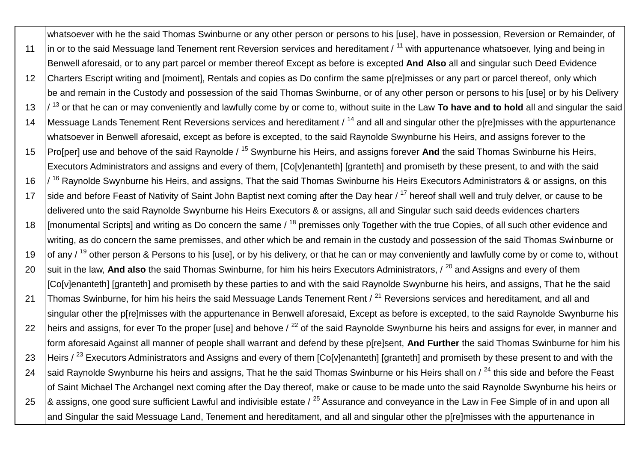whatsoever with he the said Thomas Swinburne or any other person or persons to his [use], have in possession, Reversion or Remainder, of 11  $\,$  in or to the said Messuage land Tenement rent Reversion services and hereditament /  $\,$ <sup>11</sup> with appurtenance whatsoever, Iving and being in Benwell aforesaid, or to any part parcel or member thereof Except as before is excepted **And Also** all and singular such Deed Evidence 12 Charters Escript writing and [moiment], Rentals and copies as Do confirm the same p[re]misses or any part or parcel thereof, only which be and remain in the Custody and possession of the said Thomas Swinburne, or of any other person or persons to his [use] or by his Delivery 13  $\frac{1}{3}$  or that he can or may conveniently and lawfully come by or come to, without suite in the Law To have and to hold all and singular the said 14 Messuage Lands Tenement Rent Reversions services and hereditament / <sup>14</sup> and all and singular other the p[re]misses with the appurtenance whatsoever in Benwell aforesaid, except as before is excepted, to the said Raynolde Swynburne his Heirs, and assigns forever to the 15 Pro[per] use and behove of the said Raynolde / <sup>15</sup> Swynburne his Heirs, and assigns forever **And** the said Thomas Swinburne his Heirs, Executors Administrators and assigns and every of them, [Co[v]enanteth] [granteth] and promiseth by these present, to and with the said 16  $\frac{1}{16}$  Raynolde Swynburne his Heirs, and assigns, That the said Thomas Swinburne his Heirs Executors Administrators & or assigns, on this 17 side and before Feast of Nativity of Saint John Baptist next coming after the Day hear / <sup>17</sup> hereof shall well and truly delver, or cause to be delivered unto the said Raynolde Swynburne his Heirs Executors & or assigns, all and Singular such said deeds evidences charters 18 | [monumental Scripts] and writing as Do concern the same / <sup>18</sup> premisses only Together with the true Copies, of all such other evidence and writing, as do concern the same premisses, and other which be and remain in the custody and possession of the said Thomas Swinburne or 19  $\,$  lof any / <sup>19</sup> other person & Persons to his [use], or by his delivery, or that he can or may conveniently and lawfully come by or come to, without 20 suit in the law, And also the said Thomas Swinburne, for him his heirs Executors Administrators, / <sup>20</sup> and Assigns and every of them [Co[v]enanteth] [granteth] and promiseth by these parties to and with the said Raynolde Swynburne his heirs, and assigns, That he the said 21 Thomas Swinburne, for him his heirs the said Messuage Lands Tenement Rent / <sup>21</sup> Reversions services and hereditament, and all and singular other the p[re]misses with the appurtenance in Benwell aforesaid, Except as before is excepted, to the said Raynolde Swynburne his 22 heirs and assigns, for ever To the proper [use] and behove  $\ell^{22}$  of the said Raynolde Swynburne his heirs and assigns for ever, in manner and form aforesaid Against all manner of people shall warrant and defend by these p[re]sent, **And Further** the said Thomas Swinburne for him his 23 Heirs / <sup>23</sup> Executors Administrators and Assigns and every of them [Co[v]enanteth] [granteth] and promiseth by these present to and with the 24 Said Raynolde Swynburne his heirs and assigns, That he the said Thomas Swinburne or his Heirs shall on  $\ell^{24}$  this side and before the Feast of Saint Michael The Archangel next coming after the Day thereof, make or cause to be made unto the said Raynolde Swynburne his heirs or 25  $\,$   $\,$   $\,$   $\,$   $\,$   $\,$   $\,$  assigns, one good sure sufficient Lawful and indivisible estate /  $^{25}$  Assurance and convevance in the Law in Fee Simple of in and upon all and Singular the said Messuage Land, Tenement and hereditament, and all and singular other the p[re]misses with the appurtenance in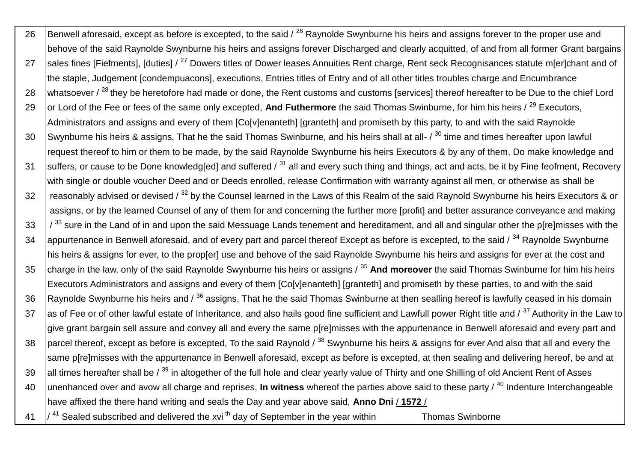26 Benwell aforesaid, except as before is excepted, to the said  $/$   $^{26}$  Raynolde Swynburne his heirs and assigns forever to the proper use and behove of the said Raynolde Swynburne his heirs and assigns forever Discharged and clearly acquitted, of and from all former Grant bargains 27 Sales fines [Fiefments], [duties] / <sup>27</sup> Dowers titles of Dower leases Annuities Rent charge, Rent seck Recognisances statute m[er]chant and of the staple, Judgement [condempuacons], executions, Entries titles of Entry and of all other titles troubles charge and Encumbrance 28 whatsoever / <sup>28</sup> they be heretofore had made or done, the Rent customs and customs [services] thereof hereafter to be Due to the chief Lord 29 or Lord of the Fee or fees of the same only excepted, And Futhermore the said Thomas Swinburne, for him his heirs / <sup>29</sup> Executors, Administrators and assigns and every of them [Co[v]enanteth] [granteth] and promiseth by this party, to and with the said Raynolde 30 Swynburne his heirs & assigns, That he the said Thomas Swinburne, and his heirs shall at all-  $/30$  time and times hereafter upon lawful request thereof to him or them to be made, by the said Raynolde Swynburne his heirs Executors & by any of them, Do make knowledge and 31 suffers, or cause to be Done knowledg[ed] and suffered  $\ell^{31}$  all and every such thing and things, act and acts, be it by Fine feofment, Recovery with single or double voucher Deed and or Deeds enrolled, release Confirmation with warranty against all men, or otherwise as shall be 32  $\parallel$  reasonably advised or devised /  $^{32}$  by the Counsel learned in the Laws of this Realm of the said Raynold Swynburne his heirs Executors & or assians. or by the learned Counsel of any of them for and concerning the further more [profit] and better assurance conveyance and making 33  $/$  <sup>33</sup> sure in the Land of in and upon the said Messuage Lands tenement and hereditament, and all and singular other the p[re]misses with the 34 | appurtenance in Benwell aforesaid, and of every part and parcel thereof Except as before is excepted, to the said / <sup>34</sup> Raynolde Swynburne his heirs & assigns for ever, to the prop[er] use and behove of the said Raynolde Swynburne his heirs and assigns for ever at the cost and 35 charge in the law, only of the said Raynolde Swynburne his heirs or assigns / <sup>35</sup> **And moreover** the said Thomas Swinburne for him his heirs Executors Administrators and assigns and every of them [Co[v]enanteth] [granteth] and promiseth by these parties, to and with the said 36 Raynolde Swynburne his heirs and  $\beta^{36}$  assigns. That he the said Thomas Swinburne at then sealling hereof is lawfully ceased in his domain 37 as of Fee or of other lawful estate of Inheritance, and also hails good fine sufficient and Lawfull power Right title and  $\frac{1}{37}$  Authority in the Law to give grant bargain sell assure and convey all and every the same p[re]misses with the appurtenance in Benwell aforesaid and every part and 38 parcel thereof, except as before is excepted. To the said Raynold  $\ell^{38}$  Swynburne his heirs & assigns for ever And also that all and every the same p[re]misses with the appurtenance in Benwell aforesaid, except as before is excepted, at then sealing and delivering hereof, be and at 39 all times hereafter shall be  $\ell^{39}$  in altogether of the full hole and clear yearly value of Thirty and one Shilling of old Ancient Rent of Asses 40 unenhanced over and avow all charge and reprises, **In witness** whereof the parties above said to these party / <sup>40</sup> Indenture Interchangeable have affixed the there hand writing and seals the Day and year above said, **Anno Dni** / **1572** / 41  $\frac{1}{4}$  Sealed subscribed and delivered the xvi<sup>th</sup> day of September in the year within Thomas Swinborne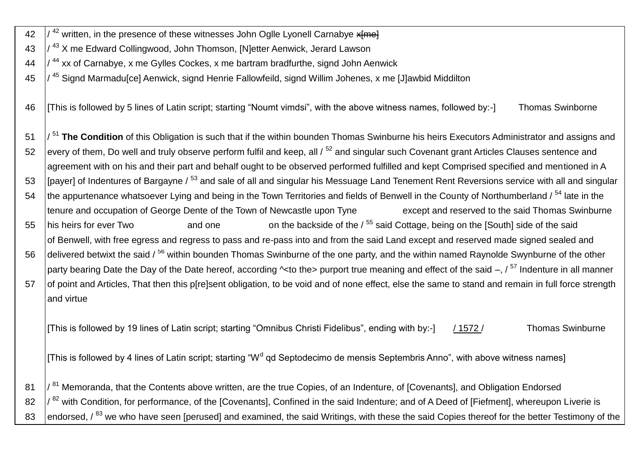42  $\frac{1}{42}$  written, in the presence of these witnesses John Oglle Lyonell Carnabye x  $\frac{1}{2}$ 43  $\frac{1}{43}$  X me Edward Collingwood, John Thomson, [N]etter Aenwick, Jerard Lawson  $\frac{44}{14}$   $\frac{1}{44}$  xx of Carnabye, x me Gylles Cockes, x me bartram bradfurthe, signd John Aenwick 45 / <sup>45</sup> Signd Marmadu[ce] Aenwick, signd Henrie Fallowfeild, signd Willim Johenes, x me [J]awbid Middilton 46 [This is followed by 5 lines of Latin script; starting "Noumt vimdsi", with the above witness names, followed by:-] Thomas Swinborne 51 /<sup>51</sup> The Condition of this Obligation is such that if the within bounden Thomas Swinburne his heirs Executors Administrator and assigns and 52 every of them, Do well and truly observe perform fulfil and keep, all  $/52$  and singular such Covenant grant Articles Clauses sentence and agreement with on his and their part and behalf ought to be observed performed fulfilled and kept Comprised specified and mentioned in A 53 | Ipaverl of Indentures of Bargayne / 53 and sale of all and singular his Messuage Land Tenement Rent Reversions service with all and singular 54 the appurtenance whatsoever Lying and being in the Town Territories and fields of Benwell in the County of Northumberland / <sup>54</sup> late in the tenure and occupation of George Dente of the Town of Newcastle upon Tyne except and reserved to the said Thomas Swinburne 55 his heirs for ever Two and one on the backside of the / <sup>55</sup> said Cottage, being on the [South] side of the said of Benwell, with free egress and regress to pass and re-pass into and from the said Land except and reserved made signed sealed and 56 delivered betwixt the said / <sup>56</sup> within bounden Thomas Swinburne of the one party, and the within named Raynolde Swynburne of the other party bearing Date the Day of the Date hereof, according  $\sim$ to the> purport true meaning and effect of the said –,  $\sqrt{57}$  Indenture in all manner 57 of point and Articles, That then this p[re]sent obligation, to be void and of none effect, else the same to stand and remain in full force strength and virtue [This is followed by 19 lines of Latin script; starting "Omnibus Christi Fidelibus", ending with by:-] / 1572 / Thomas Swinburne [This is followed by 4 lines of Latin script; starting "W<sup>d</sup> qd Septodecimo de mensis Septembris Anno", with above witness names] 81  $\frac{1}{81}$  Memoranda, that the Contents above written, are the true Copies, of an Indenture, of [Covenants], and Obligation Endorsed 82  $\frac{1}{82}$  with Condition, for performance, of the [Covenants], Confined in the said Indenture; and of A Deed of [Fiefment], whereupon Liverie is

83 endorsed, / <sup>83</sup> we who have seen [perused] and examined, the said Writings, with these the said Copies thereof for the better Testimony of the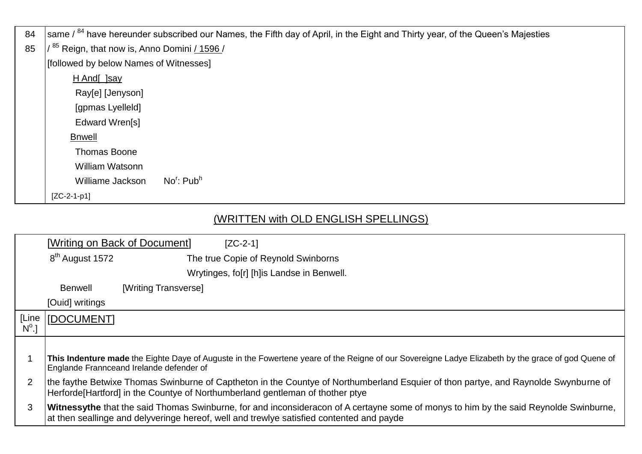| 84 | same / <sup>84</sup> have hereunder subscribed our Names, the Fifth day of April, in the Eight and Thirty year, of the Queen's Majesties |
|----|------------------------------------------------------------------------------------------------------------------------------------------|
| 85 | <sup>85</sup> Reign, that now is, Anno Domini / 1596 /                                                                                   |
|    | [followed by below Names of Witnesses]                                                                                                   |
|    | H And[ ]say                                                                                                                              |
|    | Ray[e] [Jenyson]                                                                                                                         |
|    | [gpmas Lyelleld]                                                                                                                         |
|    | Edward Wren[s]                                                                                                                           |
|    | <b>Bnwell</b>                                                                                                                            |
|    | <b>Thomas Boone</b>                                                                                                                      |
|    | <b>William Watsonn</b>                                                                                                                   |
|    | No': Pub <sup>h</sup><br>Williame Jackson                                                                                                |
|    | $[ZC-2-1-p1]$                                                                                                                            |

## (WRITTEN with OLD ENGLISH SPELLINGS)

|                         |                             | [Writing on Back of Document]<br>$[ZC-2-1]$                                                                                                                                                                                              |
|-------------------------|-----------------------------|------------------------------------------------------------------------------------------------------------------------------------------------------------------------------------------------------------------------------------------|
|                         | 8 <sup>th</sup> August 1572 | The true Copie of Reynold Swinborns                                                                                                                                                                                                      |
|                         |                             | Wrytinges, fo[r] [h]is Landse in Benwell.                                                                                                                                                                                                |
|                         | <b>Benwell</b>              | [Writing Transverse]                                                                                                                                                                                                                     |
|                         | [Ouid] writings             |                                                                                                                                                                                                                                          |
| [Line<br>$N^{\circ}$ .] | <b>IDOCUMENTI</b>           |                                                                                                                                                                                                                                          |
|                         |                             |                                                                                                                                                                                                                                          |
|                         |                             | This Indenture made the Eighte Daye of Auguste in the Fowertene yeare of the Reigne of our Sovereigne Ladye Elizabeth by the grace of god Quene of<br>Englande Frannceand Irelande defender of                                           |
| 2                       |                             | the faythe Betwixe Thomas Swinburne of Captheton in the Countye of Northumberland Esquier of thon partye, and Raynolde Swynburne of<br>Herforde[Hartford] in the Countye of Northumberland gentleman of thother ptye                     |
| 3                       |                             | <b>Witnessythe</b> that the said Thomas Swinburne, for and inconsideracon of A certayne some of monys to him by the said Reynolde Swinburne,<br>at then seallinge and delyveringe hereof, well and trewlye satisfied contented and payde |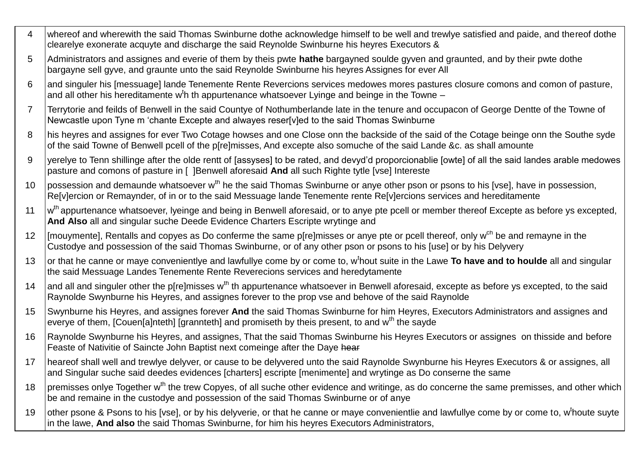- $\overline{\mathbf{4}}$ whereof and wherewith the said Thomas Swinburne dothe acknowledge himself to be well and trewlye satisfied and paide, and thereof dothe clearelye exonerate acquyte and discharge the said Reynolde Swinburne his heyres Executors &
- Administrators and assignes and everie of them by theis pwte **hathe** bargayned soulde gyven and graunted, and by their pwte dothe  $5\overline{5}$ bargayne sell gyve, and graunte unto the said Reynolde Swinburne his heyres Assignes for ever All
- land singuler his Imessuage1 lande Tenemente Rente Revercions services medowes mores pastures closure comons and comon of pasture.  $6\overline{6}$ and all other his hereditamente w<sup>t</sup>h th appurtenance whatsoever Lyinge and beinge in the Towne –
- Terrytorie and feilds of Benwell in the said Countye of Nothumberlande late in the tenure and occupacon of George Dentte of the Towne of  $\overline{7}$ Newcastle upon Tyne m 'chante Excepte and alwayes reser[v]ed to the said Thomas Swinburne
- his heyres and assignes for ever Two Cotage howses and one Close onn the backside of the said of the Cotage beinge onn the Southe syde 8 of the said Towne of Benwell pcell of the p[re]misses, And excepte also somuche of the said Lande &c. as shall amounte
- verelye to Tenn shillinge after the olde rentt of [assyses] to be rated, and devyd'd proporcionablie [owte] of all the said landes arable medowes 9 pasture and comons of pasture in [ ]Benwell aforesaid And all such Righte tytle [vse] Intereste
- lpossession and demaunde whatsoever w<sup>th</sup> he the said Thomas Swinburne or anye other pson or psons to his [vse], have in possession,  $10$ Relylercion or Remaynder, of in or to the said Messuage lande Tenemente rente Relylercions services and hereditamente
- w<sup>th</sup> appurtenance whatsoever, Iveinge and being in Benwell aforesaid, or to anye pte pcell or member thereof Excepte as before ys excepted,  $11$ And Also all and singular suche Deede Evidence Charters Escripte wrytinge and
- If mouymente], Rentalls and copyes as Do conferme the same p[re]misses or anve pte or pcell thereof, only w<sup>ch</sup> be and remayne in the  $12<sup>°</sup>$ Custodye and possession of the said Thomas Swinburne, or of any other pson or psons to his [use] or by his Delyvery
- or that he canne or maye convenientlye and lawfullye come by or come to, w<sup>t</sup>hout suite in the Lawe To have and to houlde all and singular  $13$ the said Messuage Landes Tenemente Rente Reverecions services and heredytamente
- and all and singuler other the p[re]misses w<sup>th</sup> th appurtenance whatsoever in Benwell aforesaid, excepte as before ys excepted, to the said 14 Raynolde Swynburne his Heyres, and assignes forever to the prop vse and behove of the said Raynolde
- Swynburne his Heyres, and assignes forever And the said Thomas Swinburne for him Heyres, Executors Administrators and assignes and 15 everye of them, [Couen[a]nteth] [grannteth] and promiseth by theis present, to and w<sup>th</sup> the sayde
- Ravnolde Swynburne his Hevres, and assignes, That the said Thomas Swinburne his Heyres Executors or assignes on thisside and before 16 Feaste of Nativitie of Saincte John Baptist next comeinge after the Daye hear
- heareof shall well and trewlye delyver, or cause to be delyvered unto the said Raynolde Swynburne his Heyres Executors & or assignes, all  $17$ and Singular suche said deedes evidences [charters] escripte [menimente] and wrytinge as Do conserne the same
- premisses onlye Together w<sup>th</sup> the trew Copyes, of all suche other evidence and writinge, as do concerne the same premisses, and other which 18 be and remaine in the custodye and possession of the said Thomas Swinburne or of anye
- other psone & Psons to his [vse], or by his delvyerie, or that he canne or maye convenientlie and lawfullye come by or come to, w houte suyte 19 in the lawe. And also the said Thomas Swinburne, for him his heyres Executors Administrators,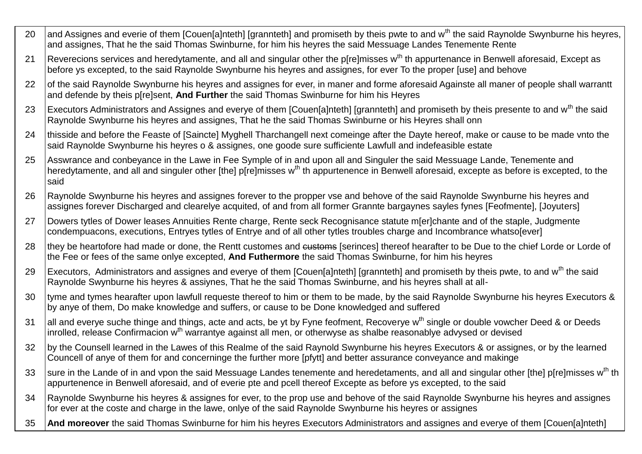- 20 and Assignes and everie of them [Couen[a]nteth] [grannteth] and promiseth by theis pwte to and w<sup>th</sup> the said Raynolde Swynburne his hevres. and assignes, That he the said Thomas Swinburne, for him his heyres the said Messuage Landes Tenemente Rente
- 21 Reverecions services and heredytamente, and all and singular other the p[re]misses w<sup>th</sup> th appurtenance in Benwell aforesaid, Except as before ys excepted, to the said Raynolde Swynburne his heyres and assignes, for ever To the proper [use] and behove
- 22 lof the said Raynolde Swynburne his hevres and assignes for ever, in maner and forme aforesaid Againste all maner of people shall warrantt and defende by theis p[re]sent, **And Further** the said Thomas Swinburne for him his Heyres
- 23 | Executors Administrators and Assignes and everye of them [Couen[a]nteth] [grannteth] and promiseth by theis presente to and w<sup>th</sup> the said Raynolde Swynburne his heyres and assignes, That he the said Thomas Swinburne or his Heyres shall onn
- 24 thisside and before the Feaste of [Saincte] Myghell Tharchangell next comeinge after the Dayte hereof, make or cause to be made vnto the said Raynolde Swynburne his heyres o & assignes, one goode sure sufficiente Lawfull and indefeasible estate
- 25 Asswrance and conbeyance in the Lawe in Fee Symple of in and upon all and Singuler the said Messuage Lande, Tenemente and heredytamente, and all and singuler other [the] p[re]misses w<sup>th</sup> th appurtenence in Benwell aforesaid, excepte as before is excepted, to the said
- 26 Raynolde Swynburne his heyres and assignes forever to the propper vse and behove of the said Raynolde Swynburne his heyres and assignes forever Discharged and clearelye acquited, of and from all former Grannte bargaynes sayles fynes [Feofmente], [Joyuters]
- 27 Dowers tytles of Dower leases Annuities Rente charge, Rente seck Recognisance statute m[er]chante and of the staple, Judgmente condempuacons, executions, Entryes tytles of Entrye and of all other tytles troubles charge and Incombrance whatso[ever]
- 28 they be heartofore had made or done, the Rentt customes and eustoms [serinces] thereof hearafter to be Due to the chief Lorde or Lorde of the Fee or fees of the same onlye excepted, **And Futhermore** the said Thomas Swinburne, for him his heyres
- 29 | Executors, Administrators and assignes and everye of them [Couen[a]nteth] [grannteth] and promiseth by theis pwte, to and w<sup>th</sup> the said Raynolde Swynburne his heyres & assiynes, That he the said Thomas Swinburne, and his heyres shall at all-
- 30 Ityme and tymes hearafter upon lawfull requeste thereof to him or them to be made, by the said Raynolde Swynburne his heyres Executors & by anye of them, Do make knowledge and suffers, or cause to be Done knowledged and suffered
- 31 all and everye suche thinge and things, acte and acts, be yt by Fyne feofment, Recoverye w<sup>th</sup> single or double vowcher Deed & or Deeds Inrolled, release Confirmacion w<sup>th</sup> warrantye against all men, or otherwyse as shalbe reasonablye advysed or devised
- 32 by the Counsell learned in the Lawes of this Realme of the said Raynold Swynburne his heyres Executors & or assignes, or by the learned Councell of anye of them for and concerninge the further more [pfytt] and better assurance conveyance and makinge
- 33 Sure in the Lande of in and vpon the said Messuage Landes tenemente and heredetaments, and all and singular other [the] p[re]misses w<sup>th</sup> th appurtenence in Benwell aforesaid, and of everie pte and pcell thereof Excepte as before ys excepted, to the said
- 34 Raynolde Swynburne his heyres & assignes for ever, to the prop use and behove of the said Raynolde Swynburne his heyres and assignes for ever at the coste and charge in the lawe, onlye of the said Raynolde Swynburne his heyres or assignes
- 35 **And moreover** the said Thomas Swinburne for him his heyres Executors Administrators and assignes and everye of them [Couen[a]nteth]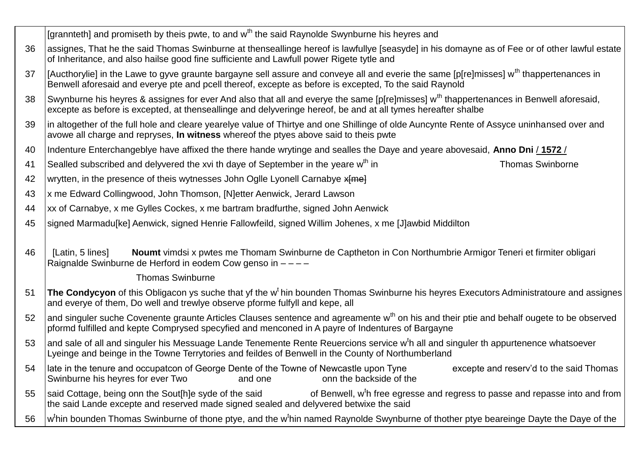|    | [grannteth] and promiseth by theis pwte, to and w <sup>th</sup> the said Raynolde Swynburne his heyres and                                                                                                                                                         |
|----|--------------------------------------------------------------------------------------------------------------------------------------------------------------------------------------------------------------------------------------------------------------------|
| 36 | assignes, That he the said Thomas Swinburne at thenseallinge hereof is lawfullye [seasyde] in his domayne as of Fee or of other lawful estate<br>of Inheritance, and also hailse good fine sufficiente and Lawfull power Rigete tytle and                          |
| 37 | [Aucthorylie] in the Lawe to gyve graunte bargayne sell assure and conveye all and everie the same [p[re]misses] w <sup>th</sup> thappertenances in<br>Benwell aforesaid and everye pte and pcell thereof, excepte as before is excepted, To the said Raynold      |
| 38 | Swynburne his heyres & assignes for ever And also that all and everye the same [p[re]misses] w <sup>th</sup> thappertenances in Benwell aforesaid,<br>excepte as before is excepted, at thenseallinge and delyveringe hereof, be and at all tymes hereafter shalbe |
| 39 | In altogether of the full hole and cleare yearelye value of Thirtye and one Shillinge of olde Auncynte Rente of Assyce uninhansed over and<br>avowe all charge and repryses, In witness whereof the ptyes above said to theis pwte                                 |
| 40 | Indenture Enterchangeblye have affixed the there hande wrytinge and sealles the Daye and yeare abovesaid, Anno Dni / 1572 /                                                                                                                                        |
| 41 | Sealled subscribed and delyvered the xvi th daye of September in the yeare w <sup>th</sup> in<br><b>Thomas Swinborne</b>                                                                                                                                           |
| 42 | wrytten, in the presence of theis wytnesses John Oglle Lyonell Carnabye x and                                                                                                                                                                                      |
| 43 | x me Edward Collingwood, John Thomson, [N]etter Aenwick, Jerard Lawson                                                                                                                                                                                             |
| 44 | xx of Carnabye, x me Gylles Cockes, x me bartram bradfurthe, signed John Aenwick                                                                                                                                                                                   |
| 45 | signed Marmadu[ke] Aenwick, signed Henrie Fallowfeild, signed Willim Johenes, x me [J]awbid Middilton                                                                                                                                                              |
|    |                                                                                                                                                                                                                                                                    |
| 46 | Noumt vimdsi x pwtes me Thomam Swinburne de Captheton in Con Northumbrie Armigor Teneri et firmiter obligari<br>[Latin, 5 lines]<br>Raignalde Swinburne de Herford in eodem Cow genso in ----                                                                      |
|    | <b>Thomas Swinburne</b>                                                                                                                                                                                                                                            |
| 51 | The Condycyon of this Obligacon ys suche that yf the w <sup>t</sup> hin bounden Thomas Swinburne his heyres Executors Administratoure and assignes<br>and everye of them, Do well and trewlye observe pforme fulfyll and kepe, all                                 |
| 52 | and singuler suche Covenente graunte Articles Clauses sentence and agreamente w <sup>th</sup> on his and their ptie and behalf ougete to be observed<br>pformd fulfilled and kepte Comprysed specyfied and menconed in A payre of Indentures of Bargayne           |
| 53 | and sale of all and singuler his Messuage Lande Tenemente Rente Reuercions service w <sup>t</sup> h all and singuler th appurtenence whatsoever<br>Lyeinge and beinge in the Towne Terrytories and feildes of Benwell in the County of Northumberland              |
|    | 54   late in the tenure and occupatcon of George Dente of the Towne of Newcastle upon Tyne<br>excepte and reserv'd to the said Thomas<br>Swinburne his heyres for ever Two<br>onn the backside of the<br>and one                                                   |
| 55 | of Benwell, w <sup>t</sup> h free egresse and regress to passe and repasse into and from<br>said Cottage, being onn the Sout[h]e syde of the said<br>the said Lande excepte and reserved made signed sealed and delyvered betwixe the said                         |
| 56 | w <sup>t</sup> hin bounden Thomas Swinburne of thone ptye, and the w <sup>t</sup> hin named Raynolde Swynburne of thother ptye beareinge Dayte the Daye of the                                                                                                     |